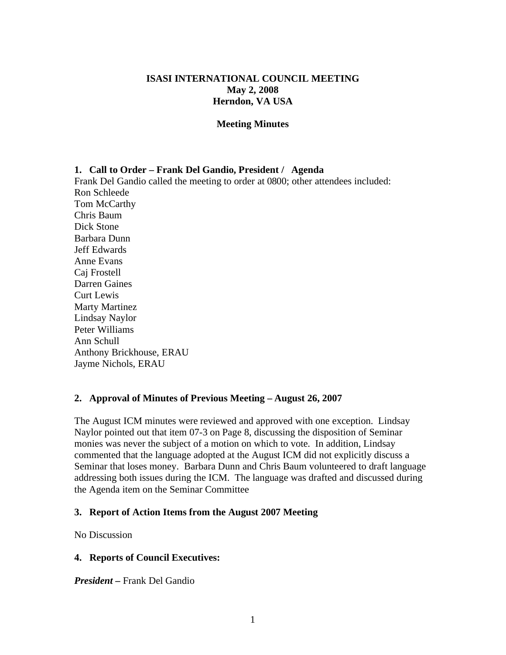# **ISASI INTERNATIONAL COUNCIL MEETING May 2, 2008 Herndon, VA USA**

## **Meeting Minutes**

## **1. Call to Order – Frank Del Gandio, President / Agenda**

Frank Del Gandio called the meeting to order at 0800; other attendees included: Ron Schleede Tom McCarthy Chris Baum Dick Stone Barbara Dunn Jeff Edwards Anne Evans Caj Frostell Darren Gaines Curt Lewis Marty Martinez Lindsay Naylor Peter Williams Ann Schull Anthony Brickhouse, ERAU Jayme Nichols, ERAU

# **2. Approval of Minutes of Previous Meeting – August 26, 2007**

The August ICM minutes were reviewed and approved with one exception. Lindsay Naylor pointed out that item 07-3 on Page 8, discussing the disposition of Seminar monies was never the subject of a motion on which to vote. In addition, Lindsay commented that the language adopted at the August ICM did not explicitly discuss a Seminar that loses money. Barbara Dunn and Chris Baum volunteered to draft language addressing both issues during the ICM. The language was drafted and discussed during the Agenda item on the Seminar Committee

# **3. Report of Action Items from the August 2007 Meeting**

No Discussion

# **4. Reports of Council Executives:**

*President –* Frank Del Gandio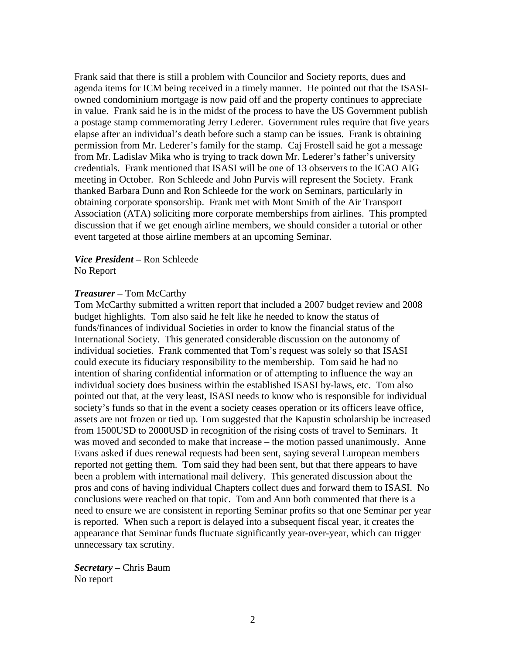Frank said that there is still a problem with Councilor and Society reports, dues and agenda items for ICM being received in a timely manner. He pointed out that the ISASIowned condominium mortgage is now paid off and the property continues to appreciate in value. Frank said he is in the midst of the process to have the US Government publish a postage stamp commemorating Jerry Lederer. Government rules require that five years elapse after an individual's death before such a stamp can be issues. Frank is obtaining permission from Mr. Lederer's family for the stamp. Caj Frostell said he got a message from Mr. Ladislav Mika who is trying to track down Mr. Lederer's father's university credentials. Frank mentioned that ISASI will be one of 13 observers to the ICAO AIG meeting in October. Ron Schleede and John Purvis will represent the Society. Frank thanked Barbara Dunn and Ron Schleede for the work on Seminars, particularly in obtaining corporate sponsorship. Frank met with Mont Smith of the Air Transport Association (ATA) soliciting more corporate memberships from airlines. This prompted discussion that if we get enough airline members, we should consider a tutorial or other event targeted at those airline members at an upcoming Seminar.

*Vice President –* Ron Schleede No Report

### *Treasurer –* Tom McCarthy

Tom McCarthy submitted a written report that included a 2007 budget review and 2008 budget highlights. Tom also said he felt like he needed to know the status of funds/finances of individual Societies in order to know the financial status of the International Society. This generated considerable discussion on the autonomy of individual societies. Frank commented that Tom's request was solely so that ISASI could execute its fiduciary responsibility to the membership. Tom said he had no intention of sharing confidential information or of attempting to influence the way an individual society does business within the established ISASI by-laws, etc. Tom also pointed out that, at the very least, ISASI needs to know who is responsible for individual society's funds so that in the event a society ceases operation or its officers leave office, assets are not frozen or tied up. Tom suggested that the Kapustin scholarship be increased from 1500USD to 2000USD in recognition of the rising costs of travel to Seminars. It was moved and seconded to make that increase – the motion passed unanimously. Anne Evans asked if dues renewal requests had been sent, saying several European members reported not getting them. Tom said they had been sent, but that there appears to have been a problem with international mail delivery. This generated discussion about the pros and cons of having individual Chapters collect dues and forward them to ISASI. No conclusions were reached on that topic. Tom and Ann both commented that there is a need to ensure we are consistent in reporting Seminar profits so that one Seminar per year is reported. When such a report is delayed into a subsequent fiscal year, it creates the appearance that Seminar funds fluctuate significantly year-over-year, which can trigger unnecessary tax scrutiny.

*Secretary –* Chris Baum No report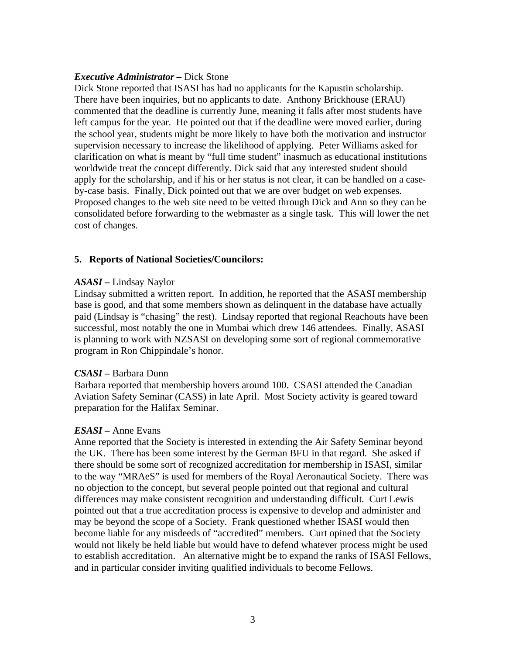# *Executive Administrator –* Dick Stone

Dick Stone reported that ISASI has had no applicants for the Kapustin scholarship. There have been inquiries, but no applicants to date. Anthony Brickhouse (ERAU) commented that the deadline is currently June, meaning it falls after most students have left campus for the year. He pointed out that if the deadline were moved earlier, during the school year, students might be more likely to have both the motivation and instructor supervision necessary to increase the likelihood of applying. Peter Williams asked for clarification on what is meant by "full time student" inasmuch as educational institutions worldwide treat the concept differently. Dick said that any interested student should apply for the scholarship, and if his or her status is not clear, it can be handled on a caseby-case basis. Finally, Dick pointed out that we are over budget on web expenses. Proposed changes to the web site need to be vetted through Dick and Ann so they can be consolidated before forwarding to the webmaster as a single task. This will lower the net cost of changes.

# **5. Reports of National Societies/Councilors:**

# *ASASI –* Lindsay Naylor

Lindsay submitted a written report. In addition, he reported that the ASASI membership base is good, and that some members shown as delinquent in the database have actually paid (Lindsay is "chasing" the rest). Lindsay reported that regional Reachouts have been successful, most notably the one in Mumbai which drew 146 attendees. Finally, ASASI is planning to work with NZSASI on developing some sort of regional commemorative program in Ron Chippindale's honor.

# *CSASI –* Barbara Dunn

Barbara reported that membership hovers around 100. CSASI attended the Canadian Aviation Safety Seminar (CASS) in late April. Most Society activity is geared toward preparation for the Halifax Seminar.

# *ESASI –* Anne Evans

Anne reported that the Society is interested in extending the Air Safety Seminar beyond the UK. There has been some interest by the German BFU in that regard. She asked if there should be some sort of recognized accreditation for membership in ISASI, similar to the way "MRAeS" is used for members of the Royal Aeronautical Society. There was no objection to the concept, but several people pointed out that regional and cultural differences may make consistent recognition and understanding difficult. Curt Lewis pointed out that a true accreditation process is expensive to develop and administer and may be beyond the scope of a Society. Frank questioned whether ISASI would then become liable for any misdeeds of "accredited" members. Curt opined that the Society would not likely be held liable but would have to defend whatever process might be used to establish accreditation. An alternative might be to expand the ranks of ISASI Fellows, and in particular consider inviting qualified individuals to become Fellows.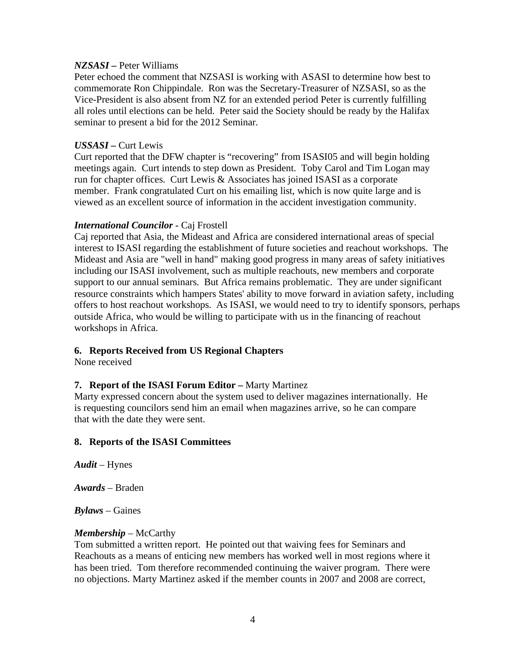## *NZSASI –* Peter Williams

Peter echoed the comment that NZSASI is working with ASASI to determine how best to commemorate Ron Chippindale. Ron was the Secretary-Treasurer of NZSASI, so as the Vice-President is also absent from NZ for an extended period Peter is currently fulfilling all roles until elections can be held. Peter said the Society should be ready by the Halifax seminar to present a bid for the 2012 Seminar.

# *USSASI –* Curt Lewis

Curt reported that the DFW chapter is "recovering" from ISASI05 and will begin holding meetings again. Curt intends to step down as President. Toby Carol and Tim Logan may run for chapter offices. Curt Lewis & Associates has joined ISASI as a corporate member. Frank congratulated Curt on his emailing list, which is now quite large and is viewed as an excellent source of information in the accident investigation community.

# *International Councilor -* Caj Frostell

Caj reported that Asia, the Mideast and Africa are considered international areas of special interest to ISASI regarding the establishment of future societies and reachout workshops. The Mideast and Asia are "well in hand" making good progress in many areas of safety initiatives including our ISASI involvement, such as multiple reachouts, new members and corporate support to our annual seminars. But Africa remains problematic. They are under significant resource constraints which hampers States' ability to move forward in aviation safety, including offers to host reachout workshops. As ISASI, we would need to try to identify sponsors, perhaps outside Africa, who would be willing to participate with us in the financing of reachout workshops in Africa.

# **6. Reports Received from US Regional Chapters**

None received

# **7. Report of the ISASI Forum Editor –** Marty Martinez

Marty expressed concern about the system used to deliver magazines internationally. He is requesting councilors send him an email when magazines arrive, so he can compare that with the date they were sent.

# **8. Reports of the ISASI Committees**

*Audit* – Hynes

*Awards* – Braden

*Bylaws* – Gaines

# *Membership* – McCarthy

Tom submitted a written report. He pointed out that waiving fees for Seminars and Reachouts as a means of enticing new members has worked well in most regions where it has been tried. Tom therefore recommended continuing the waiver program. There were no objections. Marty Martinez asked if the member counts in 2007 and 2008 are correct,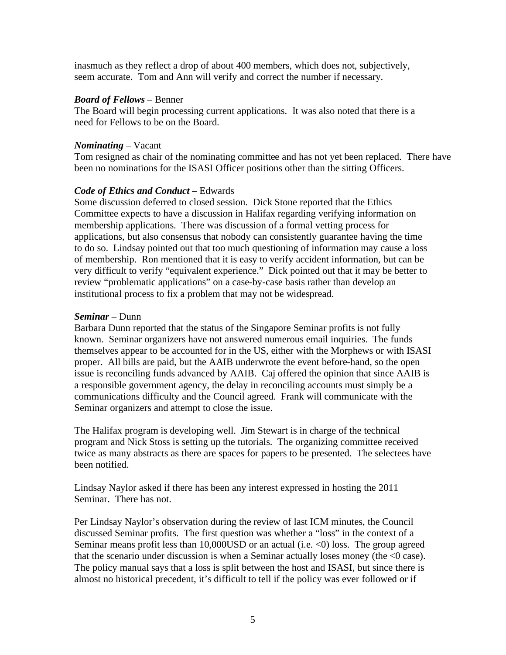inasmuch as they reflect a drop of about 400 members, which does not, subjectively, seem accurate. Tom and Ann will verify and correct the number if necessary.

# *Board of Fellows* – Benner

The Board will begin processing current applications. It was also noted that there is a need for Fellows to be on the Board.

# *Nominating* – Vacant

Tom resigned as chair of the nominating committee and has not yet been replaced. There have been no nominations for the ISASI Officer positions other than the sitting Officers.

# *Code of Ethics and Conduct* – Edwards

Some discussion deferred to closed session. Dick Stone reported that the Ethics Committee expects to have a discussion in Halifax regarding verifying information on membership applications. There was discussion of a formal vetting process for applications, but also consensus that nobody can consistently guarantee having the time to do so. Lindsay pointed out that too much questioning of information may cause a loss of membership. Ron mentioned that it is easy to verify accident information, but can be very difficult to verify "equivalent experience." Dick pointed out that it may be better to review "problematic applications" on a case-by-case basis rather than develop an institutional process to fix a problem that may not be widespread.

# *Seminar* – Dunn

Barbara Dunn reported that the status of the Singapore Seminar profits is not fully known. Seminar organizers have not answered numerous email inquiries. The funds themselves appear to be accounted for in the US, either with the Morphews or with ISASI proper. All bills are paid, but the AAIB underwrote the event before-hand, so the open issue is reconciling funds advanced by AAIB. Caj offered the opinion that since AAIB is a responsible government agency, the delay in reconciling accounts must simply be a communications difficulty and the Council agreed. Frank will communicate with the Seminar organizers and attempt to close the issue.

The Halifax program is developing well. Jim Stewart is in charge of the technical program and Nick Stoss is setting up the tutorials. The organizing committee received twice as many abstracts as there are spaces for papers to be presented. The selectees have been notified.

Lindsay Naylor asked if there has been any interest expressed in hosting the 2011 Seminar. There has not.

Per Lindsay Naylor's observation during the review of last ICM minutes, the Council discussed Seminar profits. The first question was whether a "loss" in the context of a Seminar means profit less than 10,000USD or an actual (i.e. <0) loss. The group agreed that the scenario under discussion is when a Seminar actually loses money (the  $\leq 0$  case). The policy manual says that a loss is split between the host and ISASI, but since there is almost no historical precedent, it's difficult to tell if the policy was ever followed or if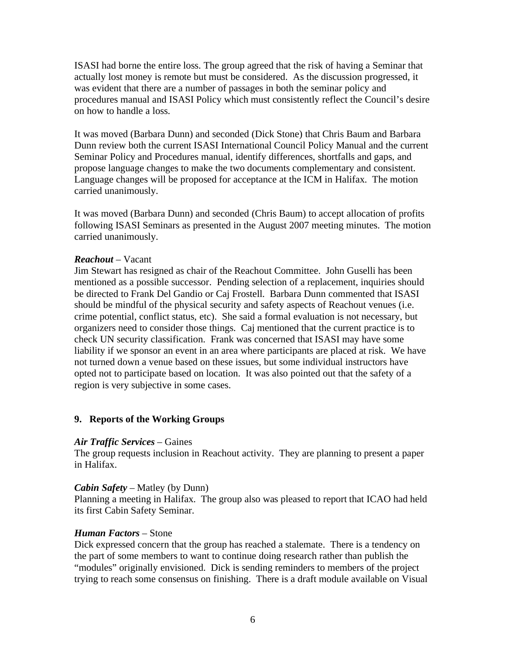ISASI had borne the entire loss. The group agreed that the risk of having a Seminar that actually lost money is remote but must be considered. As the discussion progressed, it was evident that there are a number of passages in both the seminar policy and procedures manual and ISASI Policy which must consistently reflect the Council's desire on how to handle a loss.

It was moved (Barbara Dunn) and seconded (Dick Stone) that Chris Baum and Barbara Dunn review both the current ISASI International Council Policy Manual and the current Seminar Policy and Procedures manual, identify differences, shortfalls and gaps, and propose language changes to make the two documents complementary and consistent. Language changes will be proposed for acceptance at the ICM in Halifax. The motion carried unanimously.

It was moved (Barbara Dunn) and seconded (Chris Baum) to accept allocation of profits following ISASI Seminars as presented in the August 2007 meeting minutes. The motion carried unanimously.

## *Reachout* – Vacant

Jim Stewart has resigned as chair of the Reachout Committee. John Guselli has been mentioned as a possible successor. Pending selection of a replacement, inquiries should be directed to Frank Del Gandio or Caj Frostell. Barbara Dunn commented that ISASI should be mindful of the physical security and safety aspects of Reachout venues (i.e. crime potential, conflict status, etc). She said a formal evaluation is not necessary, but organizers need to consider those things. Caj mentioned that the current practice is to check UN security classification. Frank was concerned that ISASI may have some liability if we sponsor an event in an area where participants are placed at risk. We have not turned down a venue based on these issues, but some individual instructors have opted not to participate based on location. It was also pointed out that the safety of a region is very subjective in some cases.

# **9. Reports of the Working Groups**

## *Air Traffic Services* – Gaines

The group requests inclusion in Reachout activity. They are planning to present a paper in Halifax.

## *Cabin Safety* – Matley (by Dunn)

Planning a meeting in Halifax. The group also was pleased to report that ICAO had held its first Cabin Safety Seminar.

## *Human Factors* – Stone

Dick expressed concern that the group has reached a stalemate. There is a tendency on the part of some members to want to continue doing research rather than publish the "modules" originally envisioned. Dick is sending reminders to members of the project trying to reach some consensus on finishing. There is a draft module available on Visual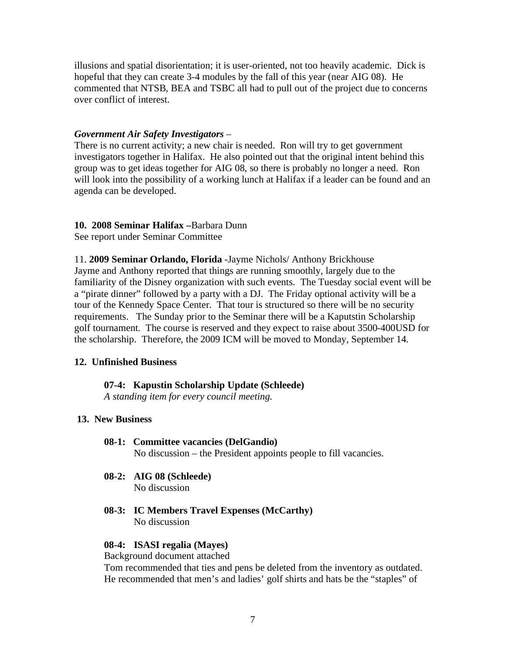illusions and spatial disorientation; it is user-oriented, not too heavily academic. Dick is hopeful that they can create 3-4 modules by the fall of this year (near AIG 08). He commented that NTSB, BEA and TSBC all had to pull out of the project due to concerns over conflict of interest.

## *Government Air Safety Investigators* –

There is no current activity; a new chair is needed. Ron will try to get government investigators together in Halifax. He also pointed out that the original intent behind this group was to get ideas together for AIG 08, so there is probably no longer a need. Ron will look into the possibility of a working lunch at Halifax if a leader can be found and an agenda can be developed.

## **10. 2008 Seminar Halifax –**Barbara Dunn

See report under Seminar Committee

11. **2009 Seminar Orlando, Florida** -Jayme Nichols/ Anthony Brickhouse Jayme and Anthony reported that things are running smoothly, largely due to the familiarity of the Disney organization with such events. The Tuesday social event will be a "pirate dinner" followed by a party with a DJ. The Friday optional activity will be a tour of the Kennedy Space Center. That tour is structured so there will be no security requirements. The Sunday prior to the Seminar there will be a Kaputstin Scholarship golf tournament. The course is reserved and they expect to raise about 3500-400USD for the scholarship. Therefore, the 2009 ICM will be moved to Monday, September 14.

## **12. Unfinished Business**

#### **07-4: Kapustin Scholarship Update (Schleede)**

*A standing item for every council meeting.* 

## **13. New Business**

#### **08-1: Committee vacancies (DelGandio)**

No discussion – the President appoints people to fill vacancies.

- **08-2: AIG 08 (Schleede)** No discussion
- **08-3: IC Members Travel Expenses (McCarthy)** No discussion

### **08-4: ISASI regalia (Mayes)**

## Background document attached

Tom recommended that ties and pens be deleted from the inventory as outdated. He recommended that men's and ladies' golf shirts and hats be the "staples" of